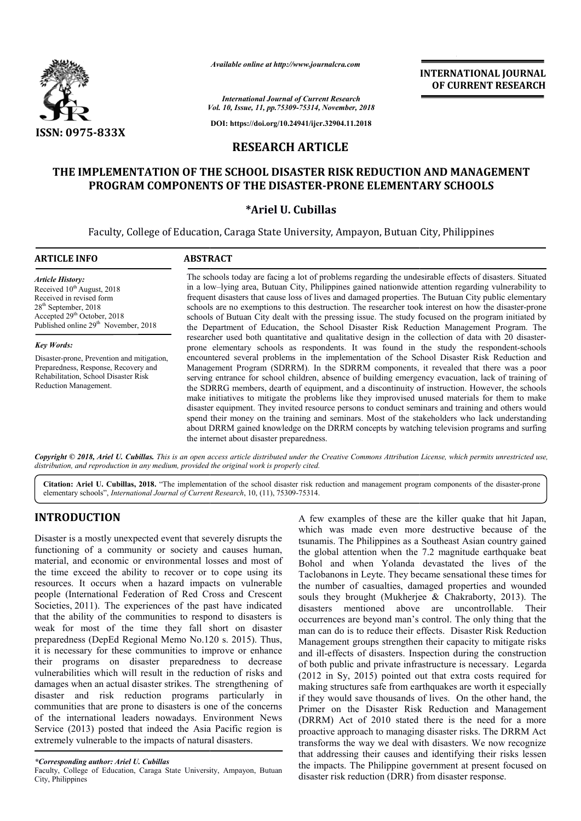

*Available online at http://www.journalcra.com*

*Vol. 10, Issue, 11, pp.75309-75314, November, 2018 International Journal of Current Research*

**DOI: https://doi.org/10.24941/ijcr.32904.11.2018**

# **RESEARCH ARTICLE**

# **THE IMPLEMENTATION OF THE SCHOOL DISASTER RISK REDUCTION AND MANAGEMENT**  IPLEMENTATION OF THE SCHOOL DISASTER RISK REDUCTION AND MANAGEMENT<br>PROGRAM COMPONENTS OF THE DISASTER-PRONE ELEMENTARY SCHOOLS

## **\*Ariel U. Cubillas**

Faculty, College of Education, Caraga State University, Ampayon, Butuan City, Philippines Faculty,

| <b>ARTICLE INFO</b>                                                                                                                                                                                                                         | <b>ABSTRACT</b>                                                                                                                                                                                                                                                                                                                                                                                                                                                                                                                                                                                                                                                                                                                                                                                                                                              |
|---------------------------------------------------------------------------------------------------------------------------------------------------------------------------------------------------------------------------------------------|--------------------------------------------------------------------------------------------------------------------------------------------------------------------------------------------------------------------------------------------------------------------------------------------------------------------------------------------------------------------------------------------------------------------------------------------------------------------------------------------------------------------------------------------------------------------------------------------------------------------------------------------------------------------------------------------------------------------------------------------------------------------------------------------------------------------------------------------------------------|
| <b>Article History:</b><br>Received 10 <sup>th</sup> August, 2018<br>Received in revised form<br>$28th$ September, 2018<br>Accepted 29 <sup>th</sup> October, 2018<br>Published online 29 <sup>th</sup> November, 2018<br><b>Key Words:</b> | The schools today are facing a lot of problems regarding the undesirable effects of disasters. Situated<br>in a low-lying area, Butuan City, Philippines gained nationwide attention regarding vulnerability to<br>frequent disasters that cause loss of lives and damaged properties. The Butuan City public elementary<br>schools are no exemptions to this destruction. The researcher took interest on how the disaster-prone<br>schools of Butuan City dealt with the pressing issue. The study focused on the program initiated by<br>the Department of Education, the School Disaster Risk Reduction Management Program. The<br>researcher used both quantitative and qualitative design in the collection of data with 20 disaster-<br>prone elementary schools as respondents. It was found in the study the respondent-schools                     |
| Disaster-prone, Prevention and mitigation,<br>Preparedness, Response, Recovery and<br>Rehabilitation, School Disaster Risk<br>Reduction Management.                                                                                         | encountered several problems in the implementation of the School Disaster Risk Reduction and<br>Management Program (SDRRM). In the SDRRM components, it revealed that there was a poor<br>serving entrance for school children, absence of building emergency evacuation, lack of training of<br>the SDRRG members, dearth of equipment, and a discontinuity of instruction. However, the schools<br>make initiatives to mitigate the problems like they improvised unused materials for them to make<br>disaster equipment. They invited resource persons to conduct seminars and training and others would<br>spend their money on the training and seminars. Most of the stakeholders who lack understanding<br>about DRRM gained knowledge on the DRRM concepts by watching television programs and surfing<br>the internet about disaster preparedness. |

Copyright © 2018, Ariel U. Cubillas. This is an open access article distributed under the Creative Commons Attribution License, which permits unrestricted use, *distribution, and reproduction in any medium, provided the original work is properly cited.*

Citation: Ariel U. Cubillas, 2018. "The implementation of the school disaster risk reduction and management program components of the disaster-prone elementary schools", *International Journal of Current Research*, 10, (11), 75309-75314.

# **INTRODUCTION**

Disaster is a mostly unexpected event that severely disrupts the functioning of a community or society and causes human, material, and economic or environmental losses and most of the time exceed the ability to recover or to cope using its resources. It occurs when a hazard impacts on vulnerable people (International Federation of Red Cross and Crescent Societies, 2011). The experiences of the past have indicated that the ability of the communities to respond to disasters is weak for most of the time they fall short on disaster preparedness (DepEd Regional Memo No.120 s. 2015). Thus, it is necessary for these communities to improve or enhance their programs on disaster preparedness to decrease vulnerabilities which will result in the reduction of risks and damages when an actual disaster strikes. The strengthening of disaster and risk reduction programs particularly in communities that are prone to disasters is one of the concerns of the international leaders nowadays. Environment News Service (2013) posted that indeed the Asia Pacific region is extremely vulnerable to the impacts of natural disasters.

Faculty, College of Education, Caraga State University, Ampayon, Butuan City, Philippines

A few examples of these are the killer quake that hit Japan,<br>
A few examples of these are the killer quake that hit Japan,<br>
a which was made even more destructive because of the<br>
a community or society and causes human, th which was made even more destructive because of the tsunamis. The Philippines as a Southeast Asian country gained the global attention when the 7.2 magnitude earthquake beat A few examples of these are the killer quake that hit Japan, which was made even more destructive because of the tsunamis. The Philippines as a Southeast Asian country gained the global attention when the 7.2 magnitude ear Taclobanons in Leyte. They became sensational these times for the number of casualties, damaged properties and wounded the number of casualties, damaged properties and wounded souls they brought (Mukherjee  $\&$  Chakraborty, 2013). The disasters mentioned above are uncontrollable. occurrences are beyond man's control. The only thing that the man can do is to reduce their effects. Disaster Risk Reduction Management groups strengthen their capacity to mitigate risks and ill-effects of disasters. Inspection during the construction of both public and private infrastructure is necessary. Legarda (2012 in Sy, 2015) pointed out that extra costs required for making structures safe from earthquakes are worth it especially if they would save thousands of lives. On the other hand, the Primer on the Disaster Risk Reduction and Management (DRRM) Act of 2010 stated there is the need for a more proactive approach to managing disaster risks. The DRRM Act transforms the way we deal with disasters. We now recognize that addressing their causes and identifying their ris the impacts. The Philippine government at present focused on disaster risk reduction (DRR) from disaster response. Their occurrences are beyond man's control. The only thing that the man can do is to reduce their effects. Disaster Risk Reduction Management groups strengthen their capacity to mitigate risks and ill-effects of disasters. Inspe **INTERNATIONAL JOUENEL (SEE ALT ACTIONAL SEE ALT A A A spendale risk REDUCTION AND MANAGEMENT RESEARCH (A)**  $\vec{r}$ **,**  $\vec{r}$ **,**  $\vec{r}$ **,**  $\vec{r}$ **,**  $\vec{r}$ **,**  $\vec{r}$ **,**  $\vec{r}$ **,**  $\vec{r}$ **,**  $\vec{r}$ **,**  $\vec{r}$ **,**  $\vec{r}$ **,**  $\vec{r}$ **, \vec{r}** 

*<sup>\*</sup>Corresponding author: Ariel U. Cubillas*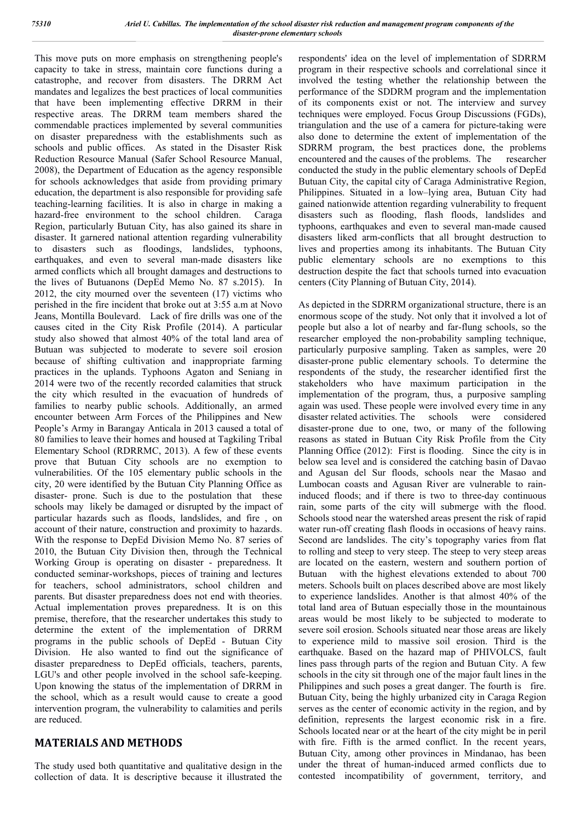This move puts on more emphasis on strengthening people's capacity to take in stress, maintain core functions during a catastrophe, and recover from disasters. The DRRM Act mandates and legalizes the best practices of local communities that have been implementing effective DRRM in their respective areas. The DRRM team members shared the commendable practices implemented by several communities on disaster preparedness with the establishments such as schools and public offices. As stated in the Disaster Risk Reduction Resource Manual (Safer School Resource Manual, 2008), the Department of Education as the agency responsible for schools acknowledges that aside from providing primary education, the department is also responsible for providing safe teaching-learning facilities. It is also in charge in making a hazard-free environment to the school children. Caraga Region, particularly Butuan City, has also gained its share in disaster. It garnered national attention regarding vulnerability to disasters such as floodings, landslides, typhoons, earthquakes, and even to several man-made disasters like armed conflicts which all brought damages and destructions to the lives of Butuanons (DepEd Memo No. 87 s.2015). In 2012, the city mourned over the seventeen (17) victims who perished in the fire incident that broke out at 3:55 a.m at Novo Jeans, Montilla Boulevard. Lack of fire drills was one of the causes cited in the City Risk Profile (2014). A particular study also showed that almost 40% of the total land area of Butuan was subjected to moderate to severe soil erosion because of shifting cultivation and inappropriate farming practices in the uplands. Typhoons Agaton and Seniang in 2014 were two of the recently recorded calamities that struck the city which resulted in the evacuation of hundreds of families to nearby public schools. Additionally, an armed encounter between Arm Forces of the Philippines and New People's Army in Barangay Anticala in 2013 caused a total of 80 families to leave their homes and housed at Tagkiling Tribal Elementary School (RDRRMC, 2013). A few of these events prove that Butuan City schools are no exemption to vulnerabilities. Of the 105 elementary public schools in the city, 20 were identified by the Butuan City Planning Office as disaster- prone. Such is due to the postulation that these schools may likely be damaged or disrupted by the impact of particular hazards such as floods, landslides, and fire , on account of their nature, construction and proximity to hazards. With the response to DepEd Division Memo No. 87 series of 2010, the Butuan City Division then, through the Technical Working Group is operating on disaster - preparedness. It conducted seminar-workshops, pieces of training and lectures for teachers, school administrators, school children and parents. But disaster preparedness does not end with theories. Actual implementation proves preparedness. It is on this premise, therefore, that the researcher undertakes this study to determine the extent of the implementation of DRRM programs in the public schools of DepEd - Butuan City Division. He also wanted to find out the significance of disaster preparedness to DepEd officials, teachers, parents, LGU's and other people involved in the school safe-keeping. Upon knowing the status of the implementation of DRRM in the school, which as a result would cause to create a good intervention program, the vulnerability to calamities and perils are reduced.

## **MATERIALS AND METHODS**

The study used both quantitative and qualitative design in the collection of data. It is descriptive because it illustrated the respondents' idea on the level of implementation of SDRRM program in their respective schools and correlational since it involved the testing whether the relationship between the performance of the SDDRM program and the implementation of its components exist or not. The interview and survey techniques were employed. Focus Group Discussions (FGDs), triangulation and the use of a camera for picture-taking were also done to determine the extent of implementation of the SDRRM program, the best practices done, the problems encountered and the causes of the problems. The researcher conducted the study in the public elementary schools of DepEd Butuan City, the capital city of Caraga Administrative Region, Philippines. Situated in a low–lying area, Butuan City had gained nationwide attention regarding vulnerability to frequent disasters such as flooding, flash floods, landslides and typhoons, earthquakes and even to several man-made caused disasters liked arm-conflicts that all brought destruction to lives and properties among its inhabitants. The Butuan City public elementary schools are no exemptions to this destruction despite the fact that schools turned into evacuation centers (City Planning of Butuan City, 2014).

As depicted in the SDRRM organizational structure, there is an enormous scope of the study. Not only that it involved a lot of people but also a lot of nearby and far-flung schools, so the researcher employed the non-probability sampling technique, particularly purposive sampling. Taken as samples, were 20 disaster-prone public elementary schools. To determine the respondents of the study, the researcher identified first the stakeholders who have maximum participation in the implementation of the program, thus, a purposive sampling again was used. These people were involved every time in any disaster related activities. The schools were considered disaster-prone due to one, two, or many of the following reasons as stated in Butuan City Risk Profile from the City Planning Office (2012): First is flooding. Since the city is in below sea level and is considered the catching basin of Davao and Agusan del Sur floods, schools near the Masao and Lumbocan coasts and Agusan River are vulnerable to raininduced floods; and if there is two to three-day continuous rain, some parts of the city will submerge with the flood. Schools stood near the watershed areas present the risk of rapid water run-off creating flash floods in occasions of heavy rains. Second are landslides. The city's topography varies from flat to rolling and steep to very steep. The steep to very steep areas are located on the eastern, western and southern portion of Butuan with the highest elevations extended to about 700 meters. Schools built on places described above are most likely to experience landslides. Another is that almost 40% of the total land area of Butuan especially those in the mountainous areas would be most likely to be subjected to moderate to severe soil erosion. Schools situated near those areas are likely to experience mild to massive soil erosion. Third is the earthquake. Based on the hazard map of PHIVOLCS, fault lines pass through parts of the region and Butuan City. A few schools in the city sit through one of the major fault lines in the Philippines and such poses a great danger. The fourth is fire. Butuan City, being the highly urbanized city in Caraga Region serves as the center of economic activity in the region, and by definition, represents the largest economic risk in a fire. Schools located near or at the heart of the city might be in peril with fire. Fifth is the armed conflict. In the recent years, Butuan City, among other provinces in Mindanao, has been under the threat of human-induced armed conflicts due to contested incompatibility of government, territory, and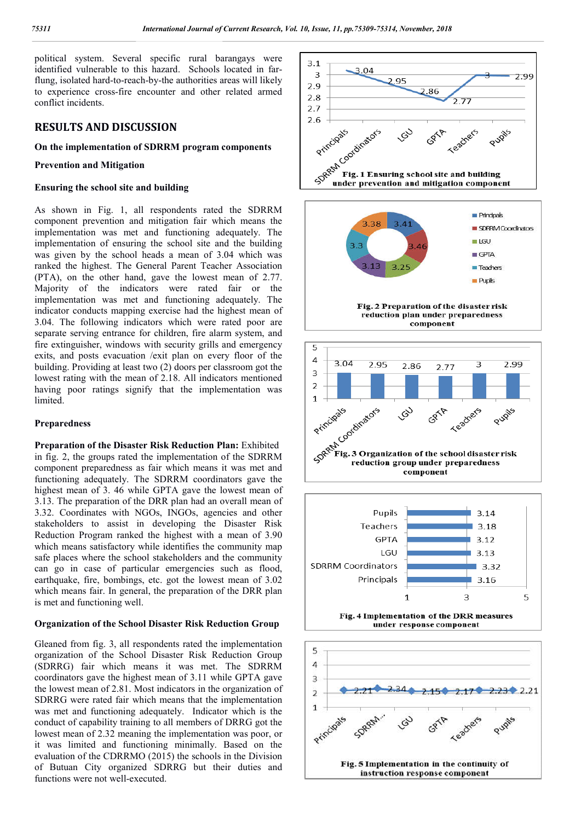political system. Several specific rural barangays were identified vulnerable to this hazard. Schools located in farflung, isolated hard-to-reach-by-the authorities areas will likely to experience cross-fire encounter and other related armed conflict incidents.

## **RESULTS AND DISCUSSION**

#### **On the implementation of SDRRM program components**

#### **Prevention and Mitigation**

#### **Ensuring the school site and building**

As shown in Fig. 1, all respondents rated the SDRRM component prevention and mitigation fair which means the implementation was met and functioning adequately. The implementation of ensuring the school site and the building was given by the school heads a mean of 3.04 which was ranked the highest. The General Parent Teacher Association (PTA), on the other hand, gave the lowest mean of 2.77. Majority of the indicators were rated fair or the implementation was met and functioning adequately. The indicator conducts mapping exercise had the highest mean of 3.04. The following indicators which were rated poor are separate serving entrance for children, fire alarm system, and fire extinguisher, windows with security grills and emergency exits, and posts evacuation /exit plan on every floor of the building. Providing at least two (2) doors per classroom got the lowest rating with the mean of 2.18. All indicators mentioned having poor ratings signify that the implementation was limited.

#### **Preparedness**

**Preparation of the Disaster Risk Reduction Plan:** Exhibited in fig. 2, the groups rated the implementation of the SDRRM component preparedness as fair which means it was met and functioning adequately. The SDRRM coordinators gave the highest mean of 3. 46 while GPTA gave the lowest mean of 3.13. The preparation of the DRR plan had an overall mean of 3.32. Coordinates with NGOs, INGOs, agencies and other stakeholders to assist in developing the Disaster Risk Reduction Program ranked the highest with a mean of 3.90 which means satisfactory while identifies the community map safe places where the school stakeholders and the community can go in case of particular emergencies such as flood, earthquake, fire, bombings, etc. got the lowest mean of 3.02 which means fair. In general, the preparation of the DRR plan is met and functioning well.

#### **Organization of the School Disaster Risk Reduction Group**

Gleaned from fig. 3, all respondents rated the implementation organization of the School Disaster Risk Reduction Group (SDRRG) fair which means it was met. The SDRRM coordinators gave the highest mean of 3.11 while GPTA gave the lowest mean of 2.81. Most indicators in the organization of SDRRG were rated fair which means that the implementation was met and functioning adequately. Indicator which is the conduct of capability training to all members of DRRG got the lowest mean of 2.32 meaning the implementation was poor, or it was limited and functioning minimally. Based on the evaluation of the CDRRMO (2015) the schools in the Division of Butuan City organized SDRRG but their duties and functions were not well-executed.









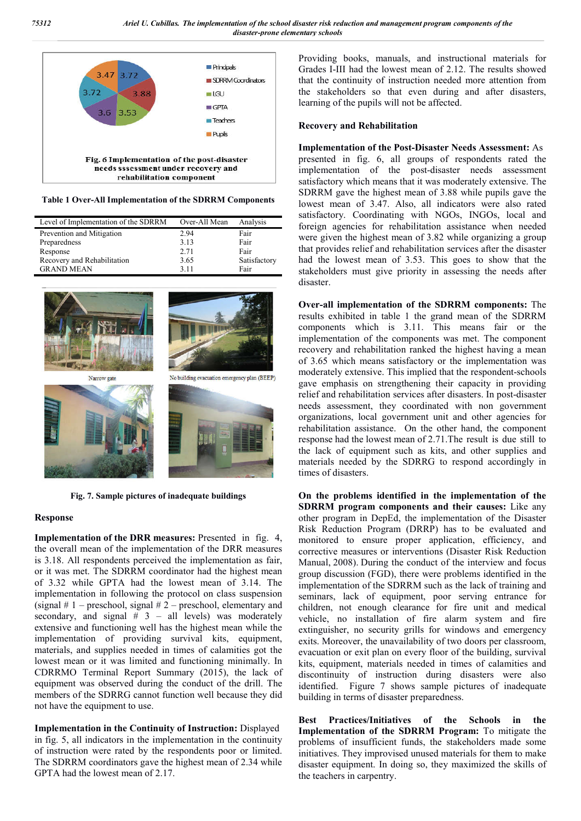

**Table 1 Over-All Implementation of the SDRRM Components**

| Level of Implementation of the SDRRM | Over-All Mean | Analysis     |
|--------------------------------------|---------------|--------------|
| Prevention and Mitigation            | 2.94          | Fair         |
| Preparedness                         | 3.13          | Fair         |
| Response                             | 2.71          | Fair         |
| Recovery and Rehabilitation          | 3.65          | Satisfactory |
| <b>GRAND MEAN</b>                    | 3 1 1         | Fair         |



**Fig. 7. Sample pictures of inadequate buildings**

#### **Response**

**Implementation of the DRR measures:** Presented in fig. 4, the overall mean of the implementation of the DRR measures is 3.18. All respondents perceived the implementation as fair, or it was met. The SDRRM coordinator had the highest mean of 3.32 while GPTA had the lowest mean of 3.14. The implementation in following the protocol on class suspension (signal  $# 1$  – preschool, signal  $# 2$  – preschool, elementary and secondary, and signal  $\#$  3 – all levels) was moderately extensive and functioning well has the highest mean while the implementation of providing survival kits, equipment, materials, and supplies needed in times of calamities got the lowest mean or it was limited and functioning minimally. In CDRRMO Terminal Report Summary (2015), the lack of equipment was observed during the conduct of the drill. The members of the SDRRG cannot function well because they did not have the equipment to use.

**Implementation in the Continuity of Instruction:** Displayed in fig. 5, all indicators in the implementation in the continuity of instruction were rated by the respondents poor or limited. The SDRRM coordinators gave the highest mean of 2.34 while GPTA had the lowest mean of 2.17.

Providing books, manuals, and instructional materials for Grades I-III had the lowest mean of 2.12. The results showed that the continuity of instruction needed more attention from the stakeholders so that even during and after disasters, learning of the pupils will not be affected.

#### **Recovery and Rehabilitation**

**Implementation of the Post-Disaster Needs Assessment:** As presented in fig. 6, all groups of respondents rated the implementation of the post-disaster needs assessment satisfactory which means that it was moderately extensive. The SDRRM gave the highest mean of 3.88 while pupils gave the lowest mean of 3.47. Also, all indicators were also rated satisfactory. Coordinating with NGOs, INGOs, local and foreign agencies for rehabilitation assistance when needed were given the highest mean of 3.82 while organizing a group that provides relief and rehabilitation services after the disaster had the lowest mean of 3.53. This goes to show that the stakeholders must give priority in assessing the needs after disaster.

**Over-all implementation of the SDRRM components:** The results exhibited in table 1 the grand mean of the SDRRM components which is 3.11. This means fair or the implementation of the components was met. The component recovery and rehabilitation ranked the highest having a mean of 3.65 which means satisfactory or the implementation was moderately extensive. This implied that the respondent-schools gave emphasis on strengthening their capacity in providing relief and rehabilitation services after disasters. In post-disaster needs assessment, they coordinated with non government organizations, local government unit and other agencies for rehabilitation assistance. On the other hand, the component response had the lowest mean of 2.71.The result is due still to the lack of equipment such as kits, and other supplies and materials needed by the SDRRG to respond accordingly in times of disasters.

**On the problems identified in the implementation of the SDRRM program components and their causes:** Like any other program in DepEd, the implementation of the Disaster Risk Reduction Program (DRRP) has to be evaluated and monitored to ensure proper application, efficiency, and corrective measures or interventions (Disaster Risk Reduction Manual, 2008). During the conduct of the interview and focus group discussion (FGD), there were problems identified in the implementation of the SDRRM such as the lack of training and seminars, lack of equipment, poor serving entrance for children, not enough clearance for fire unit and medical vehicle, no installation of fire alarm system and fire extinguisher, no security grills for windows and emergency exits. Moreover, the unavailability of two doors per classroom, evacuation or exit plan on every floor of the building, survival kits, equipment, materials needed in times of calamities and discontinuity of instruction during disasters were also identified. Figure 7 shows sample pictures of inadequate building in terms of disaster preparedness.

**Best Practices/Initiatives of the Schools in the Implementation of the SDRRM Program:** To mitigate the problems of insufficient funds, the stakeholders made some initiatives. They improvised unused materials for them to make disaster equipment. In doing so, they maximized the skills of the teachers in carpentry.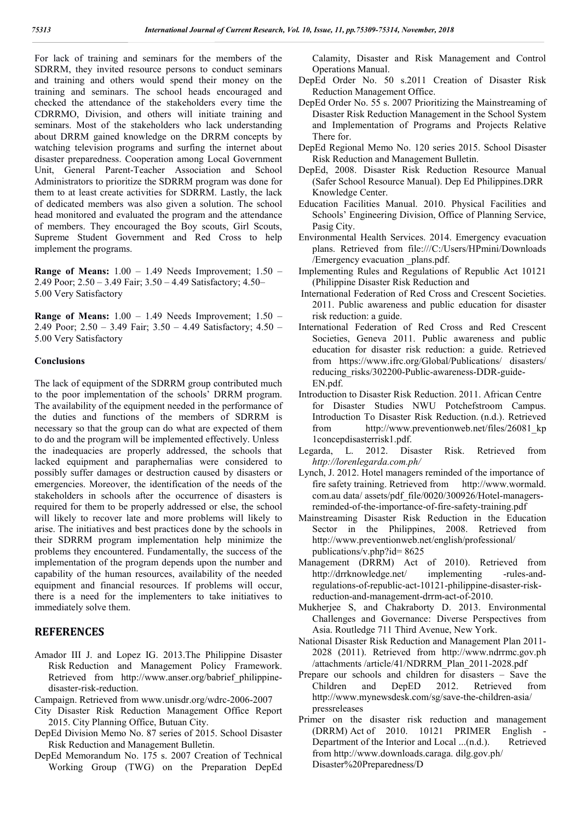For lack of training and seminars for the members of the SDRRM, they invited resource persons to conduct seminars and training and others would spend their money on the training and seminars. The school heads encouraged and checked the attendance of the stakeholders every time the CDRRMO, Division, and others will initiate training and seminars. Most of the stakeholders who lack understanding about DRRM gained knowledge on the DRRM concepts by watching television programs and surfing the internet about disaster preparedness. Cooperation among Local Government Unit, General Parent-Teacher Association and School Administrators to prioritize the SDRRM program was done for them to at least create activities for SDRRM. Lastly, the lack of dedicated members was also given a solution. The school head monitored and evaluated the program and the attendance of members. They encouraged the Boy scouts, Girl Scouts, Supreme Student Government and Red Cross to help implement the programs.

**Range of Means:** 1.00 – 1.49 Needs Improvement; 1.50 – 2.49 Poor; 2.50 – 3.49 Fair; 3.50 – 4.49 Satisfactory; 4.50– 5.00 Very Satisfactory

**Range of Means:** 1.00 – 1.49 Needs Improvement; 1.50 – 2.49 Poor; 2.50 – 3.49 Fair; 3.50 – 4.49 Satisfactory; 4.50 – 5.00 Very Satisfactory

#### **Conclusions**

The lack of equipment of the SDRRM group contributed much to the poor implementation of the schools' DRRM program. The availability of the equipment needed in the performance of the duties and functions of the members of SDRRM is necessary so that the group can do what are expected of them to do and the program will be implemented effectively. Unless the inadequacies are properly addressed, the schools that lacked equipment and paraphernalias were considered to possibly suffer damages or destruction caused by disasters or emergencies. Moreover, the identification of the needs of the stakeholders in schools after the occurrence of disasters is required for them to be properly addressed or else, the school will likely to recover late and more problems will likely to arise. The initiatives and best practices done by the schools in their SDRRM program implementation help minimize the problems they encountered. Fundamentally, the success of the implementation of the program depends upon the number and capability of the human resources, availability of the needed equipment and financial resources. If problems will occur, there is a need for the implementers to take initiatives to immediately solve them.

### **REFERENCES**

- Amador III J. and Lopez IG. 2013.The Philippine Disaster Risk Reduction and Management Policy Framework. Retrieved from http://www.anser.org/babrief philippinedisaster-risk-reduction.
- Campaign. Retrieved from www.unisdr.org/wdrc-2006-2007
- City Disaster Risk Reduction Management Office Report 2015. City Planning Office, Butuan City.
- DepEd Division Memo No. 87 series of 2015. School Disaster Risk Reduction and Management Bulletin.
- DepEd Memorandum No. 175 s. 2007 Creation of Technical Working Group (TWG) on the Preparation DepEd

Calamity, Disaster and Risk Management and Control Operations Manual.

- DepEd Order No. 50 s.2011 Creation of Disaster Risk Reduction Management Office.
- DepEd Order No. 55 s. 2007 Prioritizing the Mainstreaming of Disaster Risk Reduction Management in the School System and Implementation of Programs and Projects Relative There for.
- DepEd Regional Memo No. 120 series 2015. School Disaster Risk Reduction and Management Bulletin.
- DepEd, 2008. Disaster Risk Reduction Resource Manual (Safer School Resource Manual). Dep Ed Philippines.DRR Knowledge Center.
- Education Facilities Manual. 2010. Physical Facilities and Schools' Engineering Division, Office of Planning Service, Pasig City.
- Environmental Health Services. 2014. Emergency evacuation plans. Retrieved from file:///C:/Users/HPmini/Downloads /Emergency evacuation \_plans.pdf.
- Implementing Rules and Regulations of Republic Act 10121 (Philippine Disaster Risk Reduction and
- International Federation of Red Cross and Crescent Societies. 2011. Public awareness and public education for disaster risk reduction: a guide.
- International Federation of Red Cross and Red Crescent Societies, Geneva 2011. Public awareness and public education for disaster risk reduction: a guide. Retrieved from https://www.ifrc.org/Global/Publications/ disasters/ reducing\_risks/302200-Public-awareness-DDR-guide-EN.pdf.
- Introduction to Disaster Risk Reduction. 2011. African Centre for Disaster Studies NWU Potchefstroom Campus. Introduction To Disaster Risk Reduction. (n.d.). Retrieved from http://www.preventionweb.net/files/26081\_kp 1concepdisasterrisk1.pdf.
- Legarda, L. 2012. Disaster Risk. Retrieved from *http://lorenlegarda.com.ph/*
- Lynch, J. 2012. Hotel managers reminded of the importance of fire safety training. Retrieved from http://www.wormald. com.au data/ assets/pdf\_file/0020/300926/Hotel-managersreminded-of-the-importance-of-fire-safety-training.pdf
- Mainstreaming Disaster Risk Reduction in the Education Sector in the Philippines, 2008. Retrieved from http://www.preventionweb.net/english/professional/ publications/v.php?id= 8625
- Management (DRRM) Act of 2010). Retrieved from http://drrknowledge.net/ implementing -rules-andregulations-of-republic-act-10121-philippine-disaster-riskreduction-and-management-drrm-act-of-2010.
- Mukherjee S, and Chakraborty D. 2013. Environmental Challenges and Governance: Diverse Perspectives from Asia. Routledge 711 Third Avenue, New York.
- National Disaster Risk Reduction and Management Plan 2011- 2028 (2011). Retrieved from http://www.ndrrmc.gov.ph /attachments /article/41/NDRRM\_Plan\_2011-2028.pdf
- Prepare our schools and children for disasters Save the Children and DepED 2012. Retrieved from http://www.mynewsdesk.com/sg/save-the-children-asia/ pressreleases
- Primer on the disaster risk reduction and management  $(DRRM)$  Act of 2010. 10121 PRIMER English Department of the Interior and Local ...(n.d.). Retrieved from http://www.downloads.caraga. dilg.gov.ph/ Disaster%20Preparedness/D